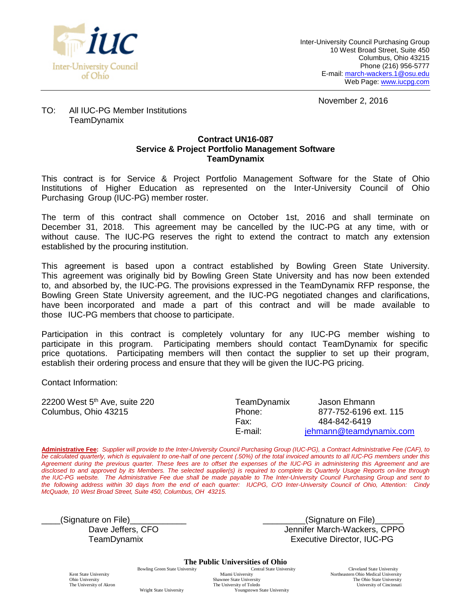

November 2, 2016

#### TO: All IUC-PG Member Institutions TeamDynamix

#### **Contract UN16-087 Service & Project Portfolio Management Software TeamDynamix**

This contract is for Service & Project Portfolio Management Software for the State of Ohio Institutions of Higher Education as represented on the Inter-University Council of Ohio Purchasing Group (IUC-PG) member roster.

The term of this contract shall commence on October 1st, 2016 and shall terminate on December 31, 2018. This agreement may be cancelled by the IUC-PG at any time, with or without cause. The IUC-PG reserves the right to extend the contract to match any extension established by the procuring institution.

This agreement is based upon a contract established by Bowling Green State University. This agreement was originally bid by Bowling Green State University and has now been extended to, and absorbed by, the IUC-PG. The provisions expressed in the TeamDynamix RFP response, the Bowling Green State University agreement, and the IUC-PG negotiated changes and clarifications, have been incorporated and made a part of this contract and will be made available to those IUC-PG members that choose to participate.

Participation in this contract is completely voluntary for any IUC-PG member wishing to participate in this program. Participating members should contact TeamDynamix for specific price quotations. Participating members will then contact the supplier to set up their program, establish their ordering process and ensure that they will be given the IUC-PG pricing.

Contact Information:

| 22200 West 5 <sup>th</sup> Ave, suite 220 | TeamDynamix | Jason Ehmann            |
|-------------------------------------------|-------------|-------------------------|
| Columbus, Ohio 43215                      | Phone:      | 877-752-6196 ext. 115   |
|                                           | Fax:        | 484-842-6419            |
|                                           | E-mail:     | jehmann@teamdynamix.com |
|                                           |             |                         |

**Administrative Fee:** *Supplier will provide to the Inter-University Council Purchasing Group (IUC-PG), a Contract Administrative Fee (CAF), to be calculated quarterly, which is equivalent to one-half of one percent (.50%) of the total invoiced amounts to all IUC-PG members under this Agreement during the previous quarter. These fees are to offset the expenses of the IUC-PG in administering this Agreement and are disclosed to and approved by its Members. The selected supplier(s) is required to complete its Quarterly Usage Reports on-line through the IUC-PG website. The Administrative Fee due shall be made payable to The Inter-University Council Purchasing Group and sent to the following address within 30 days from the end of each quarter: IUCPG, C/O Inter-University Council of Ohio, Attention: Cindy McQuade, 10 West Broad Street, Suite 450, Columbus, OH 43215.*

\_\_\_\_(Signature on File)\_\_\_\_\_\_\_\_\_\_\_\_ \_\_\_\_\_\_\_\_\_(Signature on File)\_\_\_\_\_\_

Dave Jeffers, CFO **Dave Jennifer March-Wackers, CPPO** TeamDynamix Executive Director, IUC-PG

**The Public Universities of Ohio**<br>Central State University

The University of Akron Wright State University

Bowling Green State University Central State University Central State University Central State University Northeastern Ohio Medical University Kent State University<br>
Miami University<br>
Miami University<br>
Miami University<br>
Shawnee State University<br>
The Ohio Medical University<br>
The Ohio State University<br>
The Ohio State University Shawnee State University Shawnee State University Shawnee State University Shawnee State University of Cincinnati Youngstown State University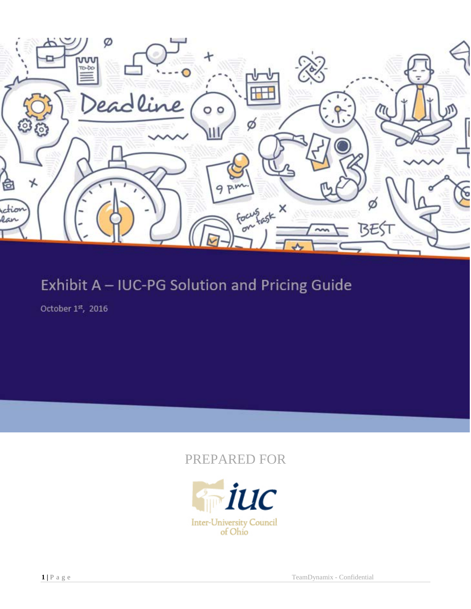

# Exhibit A - IUC-PG Solution and Pricing Guide

October 1st, 2016

## PREPARED FOR

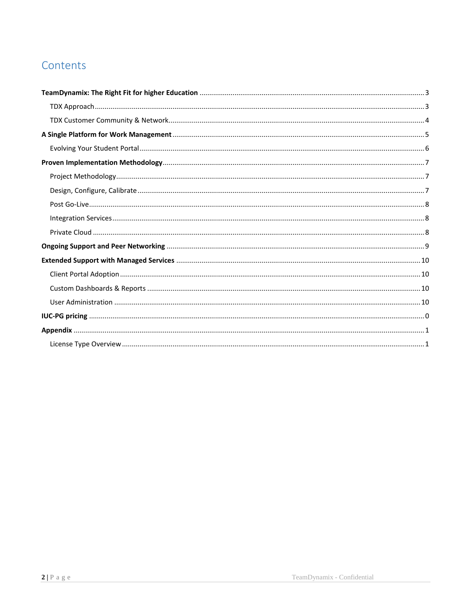## Contents

<span id="page-2-0"></span>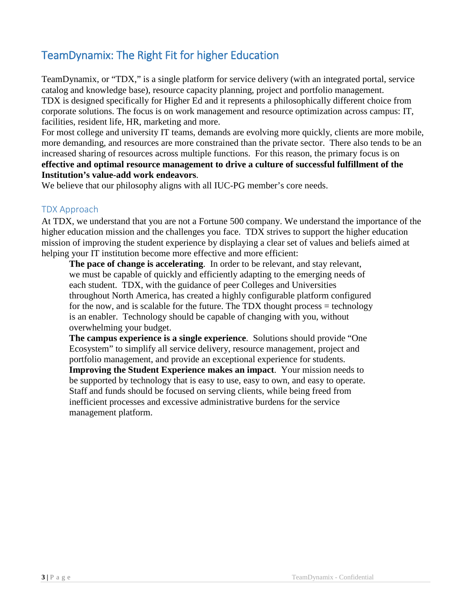## TeamDynamix: The Right Fit for higher Education

TeamDynamix, or "TDX," is a single platform for service delivery (with an integrated portal, service catalog and knowledge base), resource capacity planning, project and portfolio management. TDX is designed specifically for Higher Ed and it represents a philosophically different choice from corporate solutions. The focus is on work management and resource optimization across campus: IT, facilities, resident life, HR, marketing and more.

For most college and university IT teams, demands are evolving more quickly, clients are more mobile, more demanding, and resources are more constrained than the private sector. There also tends to be an increased sharing of resources across multiple functions. For this reason, the primary focus is on **effective and optimal resource management to drive a culture of successful fulfillment of the Institution's value-add work endeavors**.

We believe that our philosophy aligns with all IUC-PG member's core needs.

#### <span id="page-3-0"></span>TDX Approach

At TDX, we understand that you are not a Fortune 500 company. We understand the importance of the higher education mission and the challenges you face. TDX strives to support the higher education mission of improving the student experience by displaying a clear set of values and beliefs aimed at helping your IT institution become more effective and more efficient:

**The pace of change is accelerating**. In order to be relevant, and stay relevant, we must be capable of quickly and efficiently adapting to the emerging needs of each student. TDX, with the guidance of peer Colleges and Universities throughout North America, has created a highly configurable platform configured for the now, and is scalable for the future. The TDX thought process  $=$  technology is an enabler. Technology should be capable of changing with you, without overwhelming your budget.

**The campus experience is a single experience**. Solutions should provide "One Ecosystem" to simplify all service delivery, resource management, project and portfolio management, and provide an exceptional experience for students. **Improving the Student Experience makes an impact**. Your mission needs to be supported by technology that is easy to use, easy to own, and easy to operate. Staff and funds should be focused on serving clients, while being freed from inefficient processes and excessive administrative burdens for the service management platform.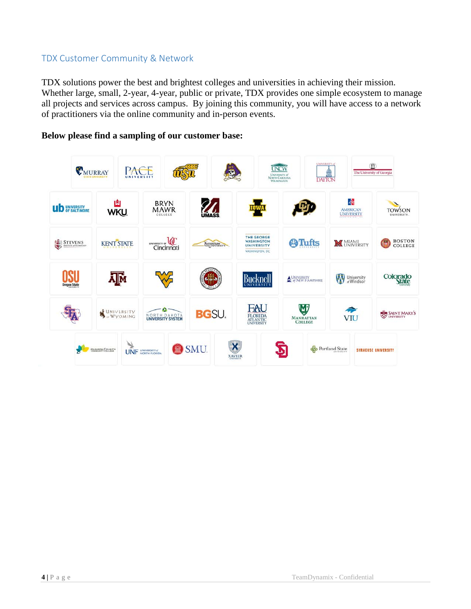#### <span id="page-4-0"></span>TDX Customer Community & Network

TDX solutions power the best and brightest colleges and universities in achieving their mission. Whether large, small, 2-year, 4-year, public or private, TDX provides one simple ecosystem to manage all projects and services across campus. By joining this community, you will have access to a network of practitioners via the online community and in-person events.

#### **Below please find a sampling of our customer base:**

<span id="page-4-1"></span>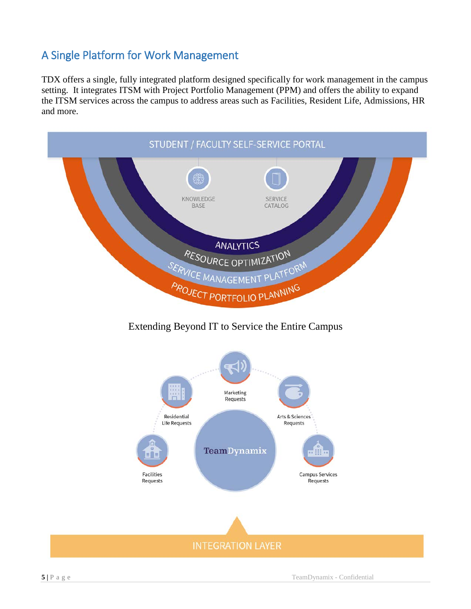## A Single Platform for Work Management

TDX offers a single, fully integrated platform designed specifically for work management in the campus setting. It integrates ITSM with Project Portfolio Management (PPM) and offers the ability to expand the ITSM services across the campus to address areas such as Facilities, Resident Life, Admissions, HR and more.



### Extending Beyond IT to Service the Entire Campus

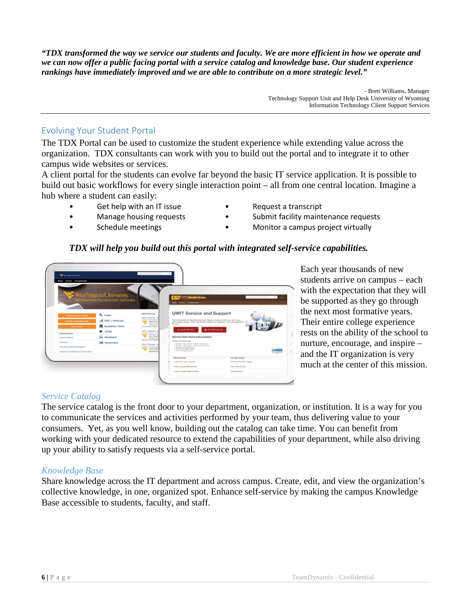*"TDX transformed the way we service our students and faculty. We are more efficient in how we operate and we can now offer a public facing portal with a service catalog and knowledge base. Our student experience rankings have immediately improved and we are able to contribute on a more strategic level."* 

> - Brett Williams, Manager Technology Support Unit and Help Desk University of Wyoming Information Technology Client Support Services

#### <span id="page-6-0"></span>Evolving Your Student Portal

The TDX Portal can be used to customize the student experience while extending value across the organization. TDX consultants can work with you to build out the portal and to integrate it to other campus wide websites or services.

A client portal for the students can evolve far beyond the basic IT service application. It is possible to build out basic workflows for every single interaction point – all from one central location. Imagine a hub where a student can easily:

- -
- 
- Get help with an IT issue **•** Request a transcript
- Manage housing requests Submit facility maintenance requests
	- Schedule meetings **•** Monitor a campus project virtually

#### *TDX will help you build out this portal with integrated self-service capabilities.*

| <b>Services Kronsledge Base</b>                                                       | WestVirginiaUniversity.                                                                                                           |                                                                                                                                                                                                          | <b>ANY AV Parados Castro</b><br><b>KLIW</b>                                                                                                                                                                                                                              | and with a state and a little with |
|---------------------------------------------------------------------------------------|-----------------------------------------------------------------------------------------------------------------------------------|----------------------------------------------------------------------------------------------------------------------------------------------------------------------------------------------------------|--------------------------------------------------------------------------------------------------------------------------------------------------------------------------------------------------------------------------------------------------------------------------|------------------------------------|
| <b>Browns Service Catalog</b><br><b>Browns Volumeters Beach</b><br><b>Angle Powel</b> | <b>IFORMATION TECHNOLOGY SERVICES</b><br><b>Q<sub>e</sub></b> Login<br>MIFi + Network<br><b>III</b> Academic Tools<br><b>STAR</b> | <b>MINNATTEWHIM</b><br>WINJ IT Barviose 11<br><b>Attribute Ad Ad Ad Color</b><br><b>Departure</b><br><b>B-TEAM DIA</b><br>Additional exp.<br><b>Kindmall all Lis Paper Call</b><br>Minha IV Steromese 14 | one loves America East<br><b>UWIT Service and Support</b><br>The University of Wyoming Service Dask is here to help you with your<br>lachnology needs. From computer support to telecom, we have solutions<br>for you.<br># CLICK FOR HELP<br><b>B</b> LNE CHAT assesses |                                    |
| <b>Priesdan Bervissee</b><br><b>Garment Resumed</b><br>atlantasa.                     | <b>Q</b> Hardware<br><b>Jd</b> MyAccess                                                                                           | pranis latitude titul<br>allenpot in<br>Assn. Holiday<br><b>But the for any</b><br>politarian la Hualt agent<br>MALL IT Sacalage - 8                                                                     | Service Desk Hours and Location:<br>Internation Technology Center<br>a Monting's Friday WM and a folklight painted follows:                                                                                                                                              |                                    |
| New Office 985 Shaned Madute<br>Suprane continuition factor (115 or                   | <b>Mind do city solar tri-</b><br><b>COLUMN STATE</b><br>models parties<br>economists un                                          | . Monday 1 Kildes 7-30 am - 6:35 pm Suitcliner Round<br>· Suburbay and Sunday, dozen<br>a Cal Network Proders, Calence 1.<br>a firmal unambalants made and                                               | энп<br>tem Littleren                                                                                                                                                                                                                                                     |                                    |
|                                                                                       |                                                                                                                                   |                                                                                                                                                                                                          | <b>Popular Benitors</b>                                                                                                                                                                                                                                                  | <b>Floor Proget Incomments</b>     |
|                                                                                       |                                                                                                                                   |                                                                                                                                                                                                          | no Flotp man I have a promoter                                                                                                                                                                                                                                           | Phoenix VE.5.2 BP1 upgram.         |
|                                                                                       |                                                                                                                                   |                                                                                                                                                                                                          | I want to required SAS suffered                                                                                                                                                                                                                                          | New Phieters Email                 |
|                                                                                       |                                                                                                                                   |                                                                                                                                                                                                          |                                                                                                                                                                                                                                                                          |                                    |

Each year thousands of new students arrive on campus – each with the expectation that they will be supported as they go through the next most formative years. Their entire college experience rests on the ability of the school to nurture, encourage, and inspire – and the IT organization is very much at the center of this mission.

#### *Service Catalog*

The service catalog is the front door to your department, organization, or institution. It is a way for you to communicate the services and activities performed by your team, thus delivering value to your consumers. Yet, as you well know, building out the catalog can take time. You can benefit from working with your dedicated resource to extend the capabilities of your department, while also driving up your ability to satisfy requests via a self-service portal.

#### *Knowledge Base*

<span id="page-6-1"></span>Share knowledge across the IT department and across campus. Create, edit, and view the organization's collective knowledge, in one, organized spot. Enhance self-service by making the campus Knowledge Base accessible to students, faculty, and staff.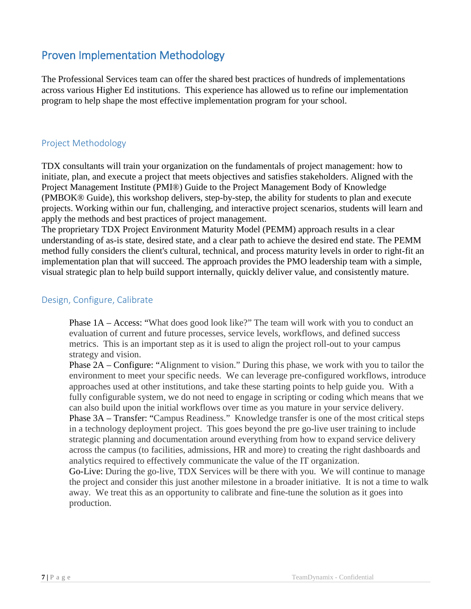### Proven Implementation Methodology

The Professional Services team can offer the shared best practices of hundreds of implementations across various Higher Ed institutions. This experience has allowed us to refine our implementation program to help shape the most effective implementation program for your school.

#### <span id="page-7-0"></span>Project Methodology

TDX consultants will train your organization on the fundamentals of project management: how to initiate, plan, and execute a project that meets objectives and satisfies stakeholders. Aligned with the Project Management Institute (PMI®) Guide to the Project Management Body of Knowledge (PMBOK® Guide), this workshop delivers, step-by-step, the ability for students to plan and execute projects. Working within our fun, challenging, and interactive project scenarios, students will learn and apply the methods and best practices of project management.

The proprietary TDX Project Environment Maturity Model (PEMM) approach results in a clear understanding of as-is state, desired state, and a clear path to achieve the desired end state. The PEMM method fully considers the client's cultural, technical, and process maturity levels in order to right-fit an implementation plan that will succeed. The approach provides the PMO leadership team with a simple, visual strategic plan to help build support internally, quickly deliver value, and consistently mature.

#### <span id="page-7-1"></span>Design, Configure, Calibrate

Phase 1A – Access: "What does good look like?" The team will work with you to conduct an evaluation of current and future processes, service levels, workflows, and defined success metrics. This is an important step as it is used to align the project roll-out to your campus strategy and vision.

Phase 2A – Configure: "Alignment to vision." During this phase, we work with you to tailor the environment to meet your specific needs. We can leverage pre-configured workflows, introduce approaches used at other institutions, and take these starting points to help guide you. With a fully configurable system, we do not need to engage in scripting or coding which means that we can also build upon the initial workflows over time as you mature in your service delivery. Phase 3A – Transfer: "Campus Readiness." Knowledge transfer is one of the most critical steps in a technology deployment project. This goes beyond the pre go-live user training to include strategic planning and documentation around everything from how to expand service delivery across the campus (to facilities, admissions, HR and more) to creating the right dashboards and analytics required to effectively communicate the value of the IT organization.

Go-Live: During the go-live, TDX Services will be there with you. We will continue to manage the project and consider this just another milestone in a broader initiative. It is not a time to walk away. We treat this as an opportunity to calibrate and fine-tune the solution as it goes into production.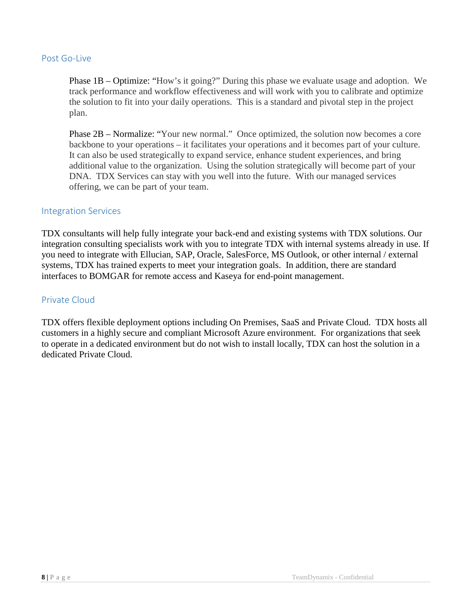#### <span id="page-8-0"></span>Post Go-Live

Phase 1B – Optimize: "How's it going?" During this phase we evaluate usage and adoption. We track performance and workflow effectiveness and will work with you to calibrate and optimize the solution to fit into your daily operations. This is a standard and pivotal step in the project plan.

Phase 2B – Normalize: "Your new normal." Once optimized, the solution now becomes a core backbone to your operations – it facilitates your operations and it becomes part of your culture. It can also be used strategically to expand service, enhance student experiences, and bring additional value to the organization. Using the solution strategically will become part of your DNA. TDX Services can stay with you well into the future. With our managed services offering, we can be part of your team.

#### <span id="page-8-1"></span>Integration Services

TDX consultants will help fully integrate your back-end and existing systems with TDX solutions. Our integration consulting specialists work with you to integrate TDX with internal systems already in use. If you need to integrate with Ellucian, SAP, Oracle, SalesForce, MS Outlook, or other internal / external systems, TDX has trained experts to meet your integration goals. In addition, there are standard interfaces to BOMGAR for remote access and Kaseya for end-point management.

#### <span id="page-8-2"></span>Private Cloud

TDX offers flexible deployment options including On Premises, SaaS and Private Cloud. TDX hosts all customers in a highly secure and compliant Microsoft Azure environment. For organizations that seek to operate in a dedicated environment but do not wish to install locally, TDX can host the solution in a dedicated Private Cloud.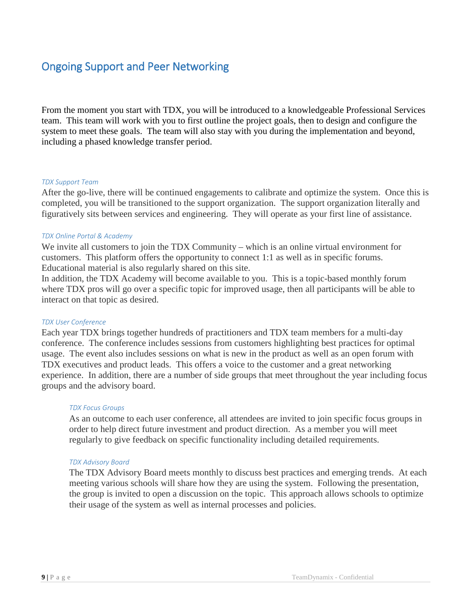### <span id="page-9-0"></span>Ongoing Support and Peer Networking

From the moment you start with TDX, you will be introduced to a knowledgeable Professional Services team. This team will work with you to first outline the project goals, then to design and configure the system to meet these goals. The team will also stay with you during the implementation and beyond, including a phased knowledge transfer period.

#### *TDX Support Team*

After the go-live, there will be continued engagements to calibrate and optimize the system. Once this is completed, you will be transitioned to the support organization. The support organization literally and figuratively sits between services and engineering. They will operate as your first line of assistance.

#### *TDX Online Portal & Academy*

We invite all customers to join the TDX Community – which is an online virtual environment for customers. This platform offers the opportunity to connect 1:1 as well as in specific forums. Educational material is also regularly shared on this site.

In addition, the TDX Academy will become available to you. This is a topic-based monthly forum where TDX pros will go over a specific topic for improved usage, then all participants will be able to interact on that topic as desired.

#### *TDX User Conference*

Each year TDX brings together hundreds of practitioners and TDX team members for a multi-day conference. The conference includes sessions from customers highlighting best practices for optimal usage. The event also includes sessions on what is new in the product as well as an open forum with TDX executives and product leads. This offers a voice to the customer and a great networking experience. In addition, there are a number of side groups that meet throughout the year including focus groups and the advisory board.

#### *TDX Focus Groups*

As an outcome to each user conference, all attendees are invited to join specific focus groups in order to help direct future investment and product direction. As a member you will meet regularly to give feedback on specific functionality including detailed requirements.

#### *TDX Advisory Board*

The TDX Advisory Board meets monthly to discuss best practices and emerging trends. At each meeting various schools will share how they are using the system. Following the presentation, the group is invited to open a discussion on the topic. This approach allows schools to optimize their usage of the system as well as internal processes and policies.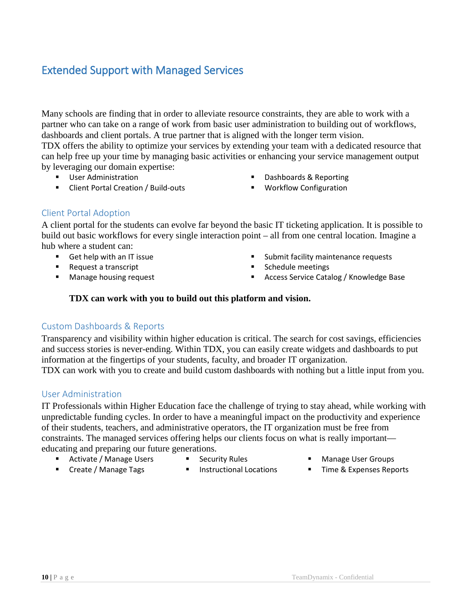## <span id="page-10-0"></span>Extended Support with Managed Services

Many schools are finding that in order to alleviate resource constraints, they are able to work with a partner who can take on a range of work from basic user administration to building out of workflows, dashboards and client portals. A true partner that is aligned with the longer term vision.

TDX offers the ability to optimize your services by extending your team with a dedicated resource that can help free up your time by managing basic activities or enhancing your service management output by leveraging our domain expertise:

- **User Administration**
- **EXECUTE:** Client Portal Creation / Build-outs
- Dashboards & Reporting
- **Workflow Configuration**

#### <span id="page-10-1"></span>Client Portal Adoption

A client portal for the students can evolve far beyond the basic IT ticketing application. It is possible to build out basic workflows for every single interaction point – all from one central location. Imagine a hub where a student can:

- Get help with an IT issue
- Request a transcript
- **Manage housing request**
- **Submit facility maintenance requests**
- Schedule meetings
- Access Service Catalog / Knowledge Base

#### **TDX can work with you to build out this platform and vision.**

#### <span id="page-10-2"></span>Custom Dashboards & Reports

Transparency and visibility within higher education is critical. The search for cost savings, efficiencies and success stories is never-ending. Within TDX, you can easily create widgets and dashboards to put information at the fingertips of your students, faculty, and broader IT organization. TDX can work with you to create and build custom dashboards with nothing but a little input from you.

#### <span id="page-10-3"></span>User Administration

IT Professionals within Higher Education face the challenge of trying to stay ahead, while working with unpredictable funding cycles. In order to have a meaningful impact on the productivity and experience of their students, teachers, and administrative operators, the IT organization must be free from constraints. The managed services offering helps our clients focus on what is really important educating and preparing our future generations.

- Activate / Manage Users
- Security Rules
- Manage User Groups
- **Create / Manage Tags**
- 
- **Instructional Locations**
- Time & Expenses Reports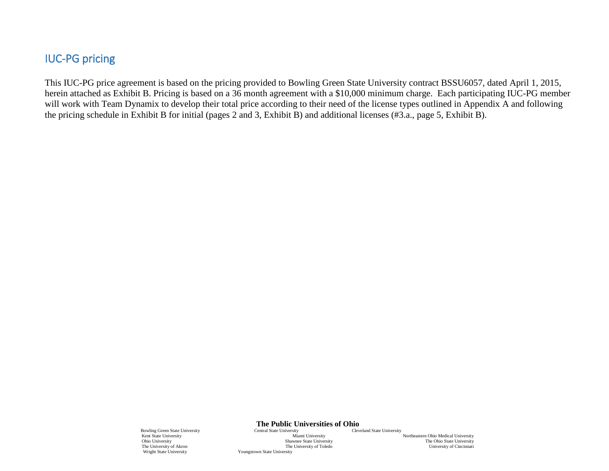### IUC-PG pricing

<span id="page-11-0"></span>This IUC-PG price agreement is based on the pricing provided to Bowling Green State University contract BSSU6057, dated April 1, 2015, herein attached as Exhibit B. Pricing is based on a 36 month agreement with a \$10,000 minimum charge. Each participating IUC-PG member will work with Team Dynamix to develop their total price according to their need of the license types outlined in Appendix A and following the pricing schedule in Exhibit B for initial (pages 2 and 3, Exhibit B) and additional licenses (#3.a., page 5, Exhibit B).

**The Public Universities of Ohio**<br>Central State University<br>Cleveland State University

Bowling Green State University **Central State University Central State University** Kent State University **Central State University** Kent State University Miami University Miami University Northeastern Ohio Medical University Ohio University Shawnee State University Shawnee State University The Ohio State University The University of Akron The University of Toledo Wright State University of Toledo University Coungstown State University Youngstown State University

The Ohio State University<br>University of Cincinnati